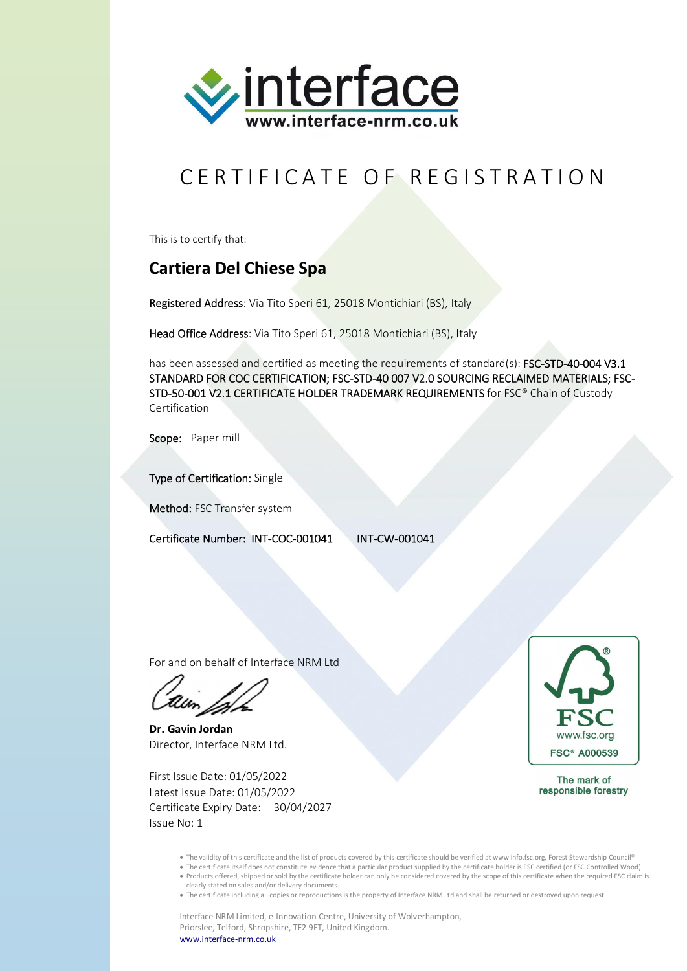

## CERTIFICATE OF REGISTRATION

This is to certify that:

## **Cartiera Del Chiese Spa**

Registered Address: Via Tito Speri 61, 25018 Montichiari (BS), Italy

Head Office Address: Via Tito Speri 61, 25018 Montichiari (BS), Italy

has been assessed and certified as meeting the requirements of standard(s): FSC-STD-40-004 V3.1 STANDARD FOR COC CERTIFICATION; FSC-STD-40 007 V2.0 SOURCING RECLAIMED MATERIALS; FSC-STD-50-001 V2.1 CERTIFICATE HOLDER TRADEMARK REQUIREMENTS for FSC® Chain of Custody Certification

Scope: Paper mill

Type of Certification: Single

Method: FSC Transfer system

Certificate Number: INT-COC-001041 INT-CW-001041

For and on behalf of Interface NRM Ltd

**Dr. Gavin Jordan** Director, Interface NRM Ltd.

First Issue Date: 01/05/2022 Latest Issue Date: 01/05/2022 Certificate Expiry Date: 30/04/2027 Issue No: 1



The mark of responsible forestry

- The validity of this certificate and the list of products covered by this certificate should be verified at www info.fsc.org, Forest Stewardship Council®
- The certificate itself does not constitute evidence that a particular product supplied by the certificate holder is FSC certified (or FSC Controlled Wood). Products offered, shipped or sold by the certificate holder can only be considered covered by the scope of this certificate when the required FSC claim is clearly stated on sales and/or delivery documents.
- The certificate including all copies or reproductions is the property of Interface NRM Ltd and shall be returned or destroyed upon request.

Interface NRM Limited, e-Innovation Centre, University of Wolverhampton, Priorslee, Telford, Shropshire, TF2 9FT, United Kingdom. www.interface-nrm.co.uk